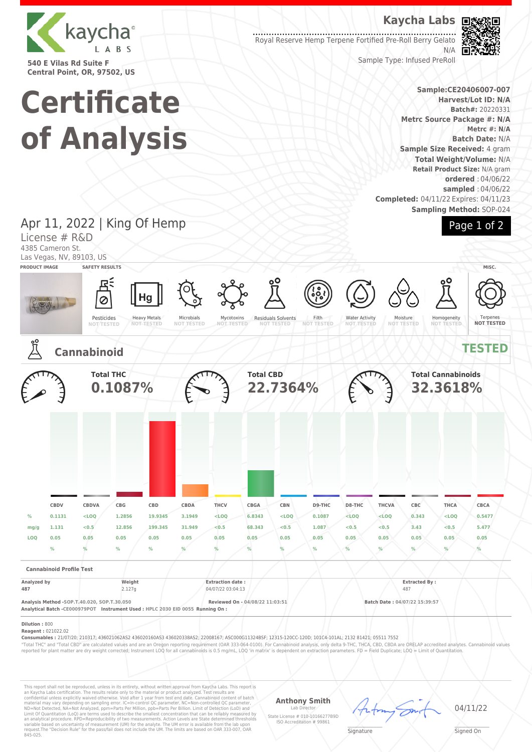

**540 E Vilas Rd Suite F Central Point, OR, 97502, US**

**Certificate**

**of Analysis**

## **Kaycha Labs**

Royal Reserve Hemp Terpene Fortified Pre-Roll Berry Gelato N/A



**Batch#:** 20220331

**Metrc #: N/A Batch Date:** N/A

Sample Type: Infused PreRoll

## **Sample:CE20406007-007 Harvest/Lot ID: N/A Metrc Source Package #: N/A Sample Size Received:** 4 gram **Total Weight/Volume:** N/A **Retail Product Size:** N/A gram **ordered** : 04/06/22 **sampled** : 04/06/22

**Sampling Method:** SOP-024



### **Completed:** 04/11/22 Expires: 04/11/23 Apr 11, 2022 | King Of Hemp License # R&D 4385 Cameron St. Las Vegas, NV, 89103, US **PRODUCT IMAGE SAFETY RESULTS MISC.** Hg Ø Heavy Metals Pesticides Microbials Residuals Solvents Filth Water Activity Mycotoxins **NOT TESTED** Moisture **NOT TESTED** Homogeneity Terpenes **NOT TESTED NOT TESTED NOT TESTED NOT TESTED NOT TESTED NOT TESTED Cannabinoid TESTED Total THC Total CBD Total Cannabinoids 0.1087% 22.7364% 32.3618% CBDV CBDVA CBG CBD CBDA THCV CBGA CBN D9-THC D8-THC THCVA CBC THCA CBCA % 0.1131 <LOQ 1.2856 19.9345 3.1949 <LOQ 6.8343 <LOQ 0.1087 <LOQ <LOQ 0.343 <LOQ 0.5477 mg/g 1.131 <0.5 12.856 199.345 31.949 <0.5 68.343 <0.5 1.087 <0.5 <0.5 3.43 <0.5 5.477 LOQ 0.05 0.05 0.05 0.05 0.05 0.05 0.05 0.05 0.05 0.05 0.05 0.05 0.05 0.05 % % % % % % % % % % % % % % Cannabinoid Profile Test Analyzed by Weight Extraction date : Extracted By : 487** 2.127g 2.127g 9 04/07/22 03:04:13 487 **Analysis Method -SOP.T.40.020, SOP.T.30.050 Reviewed On - 04/08/22 11:03:51 Batch Date : 04/07/22 15:39:57 Analytical Batch -CE000979POT Instrument Used : HPLC 2030 EID 0055 Running On : Dilution :** 800 **Reagent :** 021022.02 **Consumables :** 21/07/20; 210317; 436021062AS2 436020160AS3 436020338AS2; 22008167; ASC000G11324BSF; 12315-120CC-120D; 101C4-101AL; 2132 81421; 05511 7552

"Total THC" and "Total CBD" are calculated values and are an Oregon reporting requirement (OAR 333-064-0100). For Cannabinoid analysis, only delta 9-THC, THCA, CBD, CBDA are ORELAP accredited analytes. Cannabinoid values<br>r

This report shall not be reproduced, unless in its entirety, without written approval from Kaycha Labs. This report is<br>an Kaycha Labs certification. The results relate only to the material or product analyzed. Test result

**Anthony Smith**

Lab Director State License # 010-10166277B9D ISO Accreditation # 99861



04/11/22

 $\mathscr{L}\setminus\mathscr{L}$ **Signature** 

Signed On